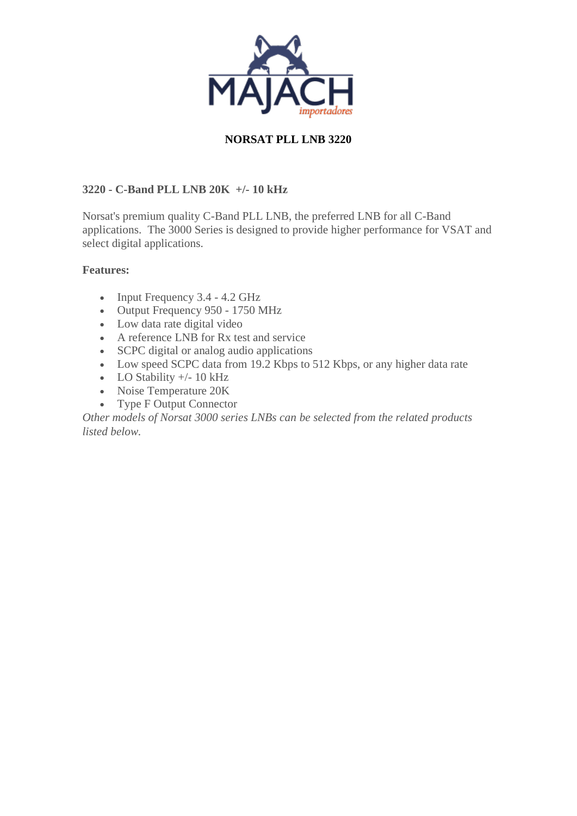

### **NORSAT PLL LNB 3220**

### **3220 - C-Band PLL LNB 20K +/- 10 kHz**

Norsat's premium quality C-Band PLL LNB, the preferred LNB for all C-Band applications. The 3000 Series is designed to provide higher performance for VSAT and select digital applications.

#### **Features:**

- Input Frequency 3.4 4.2 GHz
- Output Frequency 950 1750 MHz
- Low data rate digital video
- A reference LNB for Rx test and service
- SCPC digital or analog audio applications
- Low speed SCPC data from 19.2 Kbps to 512 Kbps, or any higher data rate
- LO Stability  $+/- 10$  kHz
- Noise Temperature 20K
- Type F Output Connector

*Other models of Norsat 3000 series LNBs can be selected from the related products listed below.*